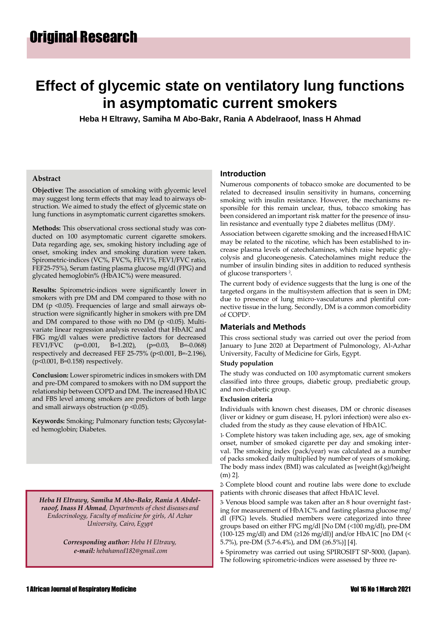## **Effect of glycemic state on ventilatory lung functions in asymptomatic current smokers**

**Heba H Eltrawy, Samiha M Abo-Bakr, Rania A Abdelraoof, Inass H Ahmad**

#### **Abstract**

**Objective:** The association of smoking with glycemic level may suggest long term effects that may lead to airways obstruction. We aimed to study the effect of glycemic state on lung functions in asymptomatic current cigarettes smokers.

**Methods:** This observational cross sectional study was conducted on 100 asymptomatic current cigarette smokers. Data regarding age, sex, smoking history including age of onset, smoking index and smoking duration were taken. Spirometric-indices (VC%, FVC%, FEV1%, FEV1/FVC ratio, FEF25-75%), Serum fasting plasma glucose mg/dl (FPG) and glycated hemoglobin% (HbA1C%) were measured.

**Results:** Spirometric-indices were significantly lower in smokers with pre DM and DM compared to those with no DM (p < 0.05). Frequencies of large and small airways obstruction were significantly higher in smokers with pre DM and DM compared to those with no DM ( $p$  <0.05). Multivariate linear regression analysis revealed that HbAIC and FBG mg/dl values were predictive factors for decreased FEV1/FVC (p=0.001, B=1.202), (p=0.03, B=-0.068) respectively and decreased FEF 25-75% (p<0.001, B=-2.196), (p<0.001, B=0.158) respectively.

**Conclusion:** Lower spirometric indices in smokers with DM and pre-DM compared to smokers with no DM support the relationship between COPD and DM. The increased HbA1C and FBS level among smokers are predictors of both large and small airways obstruction ( $p \le 0.05$ ).

**Keywords:** Smoking; Pulmonary function tests; Glycosylated hemoglobin; Diabetes.

*Heba H Eltrawy, Samiha M Abo-Bakr, Rania A Abdelraoof, Inass H Ahmad, Departments of chest diseases and Endocrinology, Faculty of medicine for girls, Al Azhar University, Cairo, Egypt*

> *Corresponding author: Heba H Eltrawy, e-mail: [hebahamed182@gmail.com](mailto:hebahamed182@gmail.com)*

#### **Introduction**

Numerous components of tobacco smoke are documented to be related to decreased insulin sensitivity in humans, concerning smoking with insulin resistance. However, the mechanisms responsible for this remain unclear, thus, tobacco smoking has been considered an important risk matter for the presence of insulin resistance and eventually type 2 diabetes mellitus  $(DM)^1$ .

Association between cigarette smoking and the increased HbA1C may be related to the nicotine, which has been established to increase plasma levels of catecholamines, which raise hepatic glycolysis and gluconeogenesis. Catecholamines might reduce the number of insulin binding sites in addition to reduced synthesis of glucose transporters<sup>2</sup>.

The current body of evidence suggests that the lung is one of the targeted organs in the multisystem affection that is seen in DM; due to presence of lung micro-vasculatures and plentiful connective tissue in the lung. Secondly, DM is a common comorbidity of COPD<sup>3</sup> .

#### **Materials and Methods**

This cross sectional study was carried out over the period from January to June 2020 at Department of Pulmonology, Al-Azhar University, Faculty of Medicine for Girls, Egypt.

#### **Study population**

The study was conducted on 100 asymptomatic current smokers classified into three groups, diabetic group, prediabetic group, and non-diabetic group.

#### **Exclusion criteria**

Individuals with known chest diseases, DM or chronic diseases (liver or kidney or gum disease, H. pylori infection) were also excluded from the study as they cause elevation of HbA1C.

1- Complete history was taken including age, sex, age of smoking onset, number of smoked cigarette per day and smoking interval. The smoking index (pack/year) was calculated as a number of packs smoked daily multiplied by number of years of smoking. The body mass index (BMI) was calculated as [weight(kg)/height (m) 2].

2- Complete blood count and routine labs were done to exclude patients with chronic diseases that affect HbA1C level.

3- Venous blood sample was taken after an 8 hour overnight fasting for measurement of HbA1C% and fasting plasma glucose mg/ dl (FPG) levels. Studied members were categorized into three groups based on either FPG mg/dl [No DM (<100 mg/dl), pre-DM (100-125 mg/dl) and DM ( $\geq$ 126 mg/dl)] and/or HbA1C [no DM (< 5.7%), pre-DM (5.7-6.4%), and DM (≥6.5%)] [4].

4- Spirometry was carried out using SPIROSIFT SP-5000, (Japan). The following spirometric-indices were assessed by three re-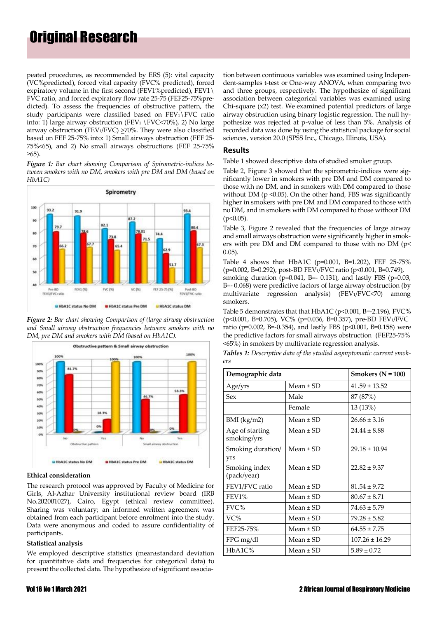# Original Research

peated procedures, as recommended by ERS (5): vital capacity (VC%predicted), forced vital capacity (FVC% predicted), forced expiratory volume in the first second (FEV1%predicted), FEV1\ FVC ratio, and forced expiratory flow rate 25-75 (FEF25-75%predicted). To assess the frequencies of obstructive pattern, the study participants were classified based on  $FEV<sub>1</sub>\$  FVC ratio into: 1) large airway obstruction (FEV<sub>1</sub> \FVC $\lt$ 70%), 2) No large airway obstruction (FEV1/FVC)  $\geq$ 70%. They were also classified based on FEF 25-75% into: 1) Small airways obstruction (FEF 25- 75%<65), and 2) No small airways obstructions (FEF 25-75% ≥65).

*Figure 1: Bar chart showing Comparison of Spirometric-indices between smokers with no DM, smokers with pre DM and DM (based on HbA1C)*



*Figure 2: Bar chart showing Comparison of (large airway obstruction and Small airway obstruction frequencies between smokers with no DM, pre DM and smokers with DM (based on HbA1C).*



#### **Ethical consideration**

The research protocol was approved by Faculty of Medicine for Girls, Al-Azhar University institutional review board (IRB No.202001027), Cairo, Egypt (ethical review committee). Sharing was voluntary; an informed written agreement was obtained from each participant before enrolment into the study. Data were anonymous and coded to assure confidentiality of participants.

#### **Statistical analysis**

We employed descriptive statistics (mean±standard deviation for quantitative data and frequencies for categorical data) to present the collected data. The hypothesize of significant associa-

tion between continuous variables was examined using Independent-samples t-test or One-way ANOVA, when comparing two and three groups, respectively. The hypothesize of significant association between categorical variables was examined using Chi-square (x2) test. We examined potential predictors of large airway obstruction using binary logistic regression. The null hypothesize was rejected at p-value of less than 5%. Analysis of recorded data was done by using the statistical package for social sciences, version 20.0 (SPSS Inc., Chicago, Illinois, USA).

### **Results**

Table 1 showed descriptive data of studied smoker group.

Table 2, Figure 3 showed that the spirometric-indices were significantly lower in smokers with pre DM and DM compared to those with no DM, and in smokers with DM compared to those without DM ( $p \le 0.05$ ). On the other hand, FBS was significantly higher in smokers with pre DM and DM compared to those with no DM, and in smokers with DM compared to those without DM  $(p<0.05)$ .

Table 3, Figure 2 revealed that the frequencies of large airway and small airways obstruction were significantly higher in smokers with pre DM and DM compared to those with no DM (p< 0.05).

Table 4 shows that HbA1C (p=0.001, B=1.202), FEF 25-75%  $(p=0.002, B=0.292)$ , post-BD FEV<sub>1</sub>/FVC ratio (p<0.001, B=0.749). smoking duration ( $p=0.041$ , B=- 0.131), and lastly FBS ( $p=0.03$ ,

B=- 0.068) were predictive factors of large airway obstruction (by multivariate regression analysis) (FEV1/FVC<70) among smokers.

Table 5 demonstrates that that HbA1C (p<0.001, B=-2.196), FVC% (p<0.001, B=0.705), VC% (p=0.036, B=0.357), pre-BD FEV1/FVC ratio (p=0.002, B=-0.354), and lastly FBS (p<0.001, B=0.158) were the predictive factors for small airways obstruction (FEF25-75% <65%) in smokers by multivariate regression analysis.

*Tables 1: Descriptive data of the studied asymptomatic current smokers*

| Demographic data               |               | Smokers $(N = 100)$ |
|--------------------------------|---------------|---------------------|
| Age/yrs                        | Mean $\pm$ SD | $41.59 \pm 13.52$   |
| Sex                            | Male          | 87 (87%)            |
|                                | Female        | 13 (13%)            |
| $BMI$ (kg/m2)                  | Mean $+$ SD   | $26.66 \pm 3.16$    |
| Age of starting<br>smoking/yrs | Mean $\pm$ SD | $24.44 \pm 8.88$    |
| Smoking duration/<br>yrs       | $Mean \pm SD$ | $29.18 \pm 10.94$   |
| Smoking index<br>(pack/year)   | $Mean + SD$   | $22.82 \pm 9.37$    |
| FEV1/FVC ratio                 | Mean $\pm$ SD | $81.54 \pm 9.72$    |
| FEV1%                          | Mean $\pm$ SD | $80.67 \pm 8.71$    |
| FVC%                           | $Mean + SD$   | $74.63 \pm 5.79$    |
| VC%                            | $Mean + SD$   | $79.28 \pm 5.82$    |
| FEF25-75%                      | Mean $\pm$ SD | $64.55 \pm 7.75$    |
| FPG mg/dl                      | $Mean \pm SD$ | $107.26 \pm 16.29$  |
| HbA1C%                         | Mean $\pm$ SD | $5.89 \pm 0.72$     |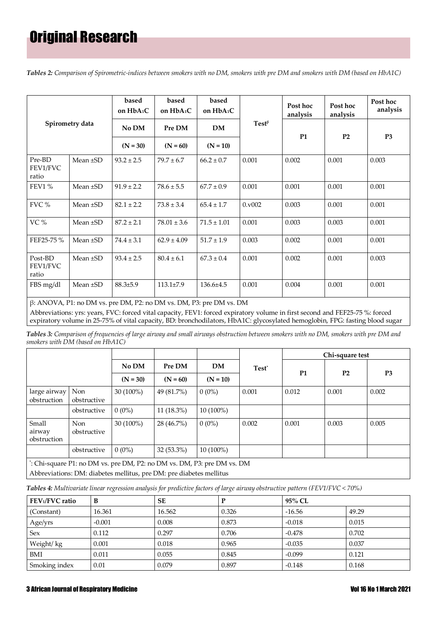*Tables 2: Comparison of Spirometric-indices between smokers with no DM, smokers with pre DM and smokers with DM (based on HbA1C)*

|                              |               | based<br>on HbA <sub>1</sub> C | based<br>on HbA <sub>1</sub> C | based<br>on HbA <sub>1</sub> C |           | Post hoc<br>analysis | Post hoc<br>analysis | Post hoc<br>analysis |
|------------------------------|---------------|--------------------------------|--------------------------------|--------------------------------|-----------|----------------------|----------------------|----------------------|
| Spirometry data              | No DM         | Pre DM                         | <b>DM</b>                      | $Test^{\beta}$                 | <b>P1</b> | P <sub>2</sub>       | P <sub>3</sub>       |                      |
|                              |               | $(N = 30)$                     | $(N = 60)$                     | $(N = 10)$                     |           |                      |                      |                      |
| Pre-BD<br>FEV1/FVC<br>ratio  | Mean $\pm$ SD | $93.2 \pm 2.5$                 | $79.7 \pm 6.7$                 | $66.2 \pm 0.7$                 | 0.001     | 0.002                | 0.001                | 0.003                |
| FEV1 %                       | Mean $\pm$ SD | $91.9 \pm 2.2$                 | $78.6 \pm 5.5$                 | $67.7 \pm 0.9$                 | 0.001     | 0.001                | 0.001                | 0.001                |
| $FVC$ %                      | Mean $\pm$ SD | $82.1 \pm 2.2$                 | $73.8 \pm 3.4$                 | $65.4 \pm 1.7$                 | 0.0002    | 0.003                | 0.001                | 0.001                |
| VC%                          | Mean $\pm$ SD | $87.2 \pm 2.1$                 | $78.01 \pm 3.6$                | $71.5 \pm 1.01$                | 0.001     | 0.003                | 0.003                | 0.001                |
| FEF25-75 %                   | Mean ±SD      | $74.4 \pm 3.1$                 | $62.9 \pm 4.09$                | $51.7 \pm 1.9$                 | 0.003     | 0.002                | 0.001                | 0.001                |
| Post-BD<br>FEV1/FVC<br>ratio | Mean ±SD      | $93.4 \pm 2.5$                 | $80.4 \pm 6.1$                 | $67.3 \pm 0.4$                 | 0.001     | 0.002                | 0.001                | 0.003                |
| FBS mg/dl                    | Mean $\pm$ SD | $88.3{\pm}5.9$                 | $113.1\pm7.9$                  | $136.6 \pm 4.5$                | 0.001     | 0.004                | 0.001                | 0.001                |

β: ANOVA, P1: no DM vs. pre DM, P2: no DM vs. DM, P3: pre DM vs. DM Abbreviations: yrs: years, FVC: forced vital capacity, FEV1: forced expiratory volume in first second and FEF25-75 %: forced expiratory volume in 25-75% of vital capacity, BD: bronchodilators, HbA1C: glycosylated hemoglobin, FPG: fasting blood sugar

*Tables 3: Comparison of frequencies of large airway and small airways obstruction between smokers with no DM, smokers with pre DM and smokers with DM (based on HbA1C)*

|                                                                                                                                                |                           |             |              |             |                   | Chi-square test |                |                |
|------------------------------------------------------------------------------------------------------------------------------------------------|---------------------------|-------------|--------------|-------------|-------------------|-----------------|----------------|----------------|
|                                                                                                                                                |                           | No DM       | Pre DM       | <b>DM</b>   | Test <sup>*</sup> |                 |                |                |
|                                                                                                                                                |                           | $(N = 30)$  | $(N = 60)$   | $(N = 10)$  |                   | <b>P1</b>       | P <sub>2</sub> | P <sub>3</sub> |
| large airway<br>obstruction                                                                                                                    | <b>Non</b><br>obstructive | $30(100\%)$ | 49 (81.7%)   | $0(0\%)$    | 0.001             | 0.012           | 0.001          | 0.002          |
|                                                                                                                                                | obstructive               | $0(0\%)$    | $11(18.3\%)$ | $10(100\%)$ |                   |                 |                |                |
| Small<br>airway<br>obstruction                                                                                                                 | <b>Non</b><br>obstructive | $30(100\%)$ | 28 (46.7%)   | $0(0\%)$    | 0.002             | 0.001           | 0.003          | 0.005          |
|                                                                                                                                                | obstructive               | $0(0\%)$    | $32(53.3\%)$ | $10(100\%)$ |                   |                 |                |                |
| *: Chi-square P1: no DM vs. pre DM, P2: no DM vs. DM, P3: pre DM vs. DM<br>Abbreviations: DM: diabetes mellitus, pre DM: pre diabetes mellitus |                           |             |              |             |                   |                 |                |                |

*Tables 4: Multivariate linear regression analysis for predictive factors of large airway obstructive pattern (FEV1/FVC < 70%)*

| FEV1/FVC ratio | B        | <b>SE</b> | P     | 95% CL   |       |
|----------------|----------|-----------|-------|----------|-------|
| (Constant)     | 16.361   | 16.562    | 0.326 | $-16.56$ | 49.29 |
| Age/yrs        | $-0.001$ | 0.008     | 0.873 | $-0.018$ | 0.015 |
| <b>Sex</b>     | 0.112    | 0.297     | 0.706 | $-0.478$ | 0.702 |
| Weight/kg      | 0.001    | 0.018     | 0.965 | $-0.035$ | 0.037 |
| BMI            | 0.011    | 0.055     | 0.845 | $-0.099$ | 0.121 |
| Smoking index  | 0.01     | 0.079     | 0.897 | $-0.148$ | 0.168 |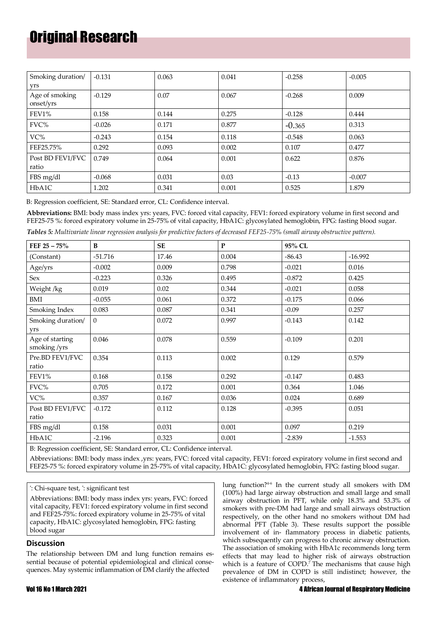# Original Research

| Smoking duration/<br>yrs    | $-0.131$ | 0.063 | 0.041 | $-0.258$ | $-0.005$ |
|-----------------------------|----------|-------|-------|----------|----------|
| Age of smoking<br>onset/yrs | $-0.129$ | 0.07  | 0.067 | $-0.268$ | 0.009    |
| FEV1%                       | 0.158    | 0.144 | 0.275 | $-0.128$ | 0.444    |
| FVC%                        | $-0.026$ | 0.171 | 0.877 | $-0.365$ | 0.313    |
| VC%                         | $-0.243$ | 0.154 | 0.118 | $-0.548$ | 0.063    |
| FEF25.75%                   | 0.292    | 0.093 | 0.002 | 0.107    | 0.477    |
| Post BD FEV1/FVC<br>ratio   | 0.749    | 0.064 | 0.001 | 0.622    | 0.876    |
| FBS mg/dl                   | $-0.068$ | 0.031 | 0.03  | $-0.13$  | $-0.007$ |
| HbA1C                       | 1.202    | 0.341 | 0.001 | 0.525    | 1.879    |

B: Regression coefficient, SE: Standard error, CL: Confidence interval.

**Abbreviations:** BMI: body mass index yrs: years, FVC: forced vital capacity, FEV1: forced expiratory volume in first second and FEF25-75 %: forced expiratory volume in 25-75% of vital capacity, HbA1C: glycosylated hemoglobin, FPG: fasting blood sugar.

| Tables 5: Multivariate linear regression analysis for predictive factors of decreased FEF25-75% (small airway obstructive pattern). |  |  |  |  |  |
|-------------------------------------------------------------------------------------------------------------------------------------|--|--|--|--|--|
|-------------------------------------------------------------------------------------------------------------------------------------|--|--|--|--|--|

| FEF $25 - 75\%$                 | B         | SE    | ${\bf P}$ | 95% CL   |           |
|---------------------------------|-----------|-------|-----------|----------|-----------|
| (Constant)                      | $-51.716$ | 17.46 | 0.004     | $-86.43$ | $-16.992$ |
| Age/yrs                         | $-0.002$  | 0.009 | 0.798     | $-0.021$ | 0.016     |
| Sex                             | $-0.223$  | 0.326 | 0.495     | $-0.872$ | 0.425     |
| Weight /kg                      | 0.019     | 0.02  | 0.344     | $-0.021$ | 0.058     |
| BMI                             | $-0.055$  | 0.061 | 0.372     | $-0.175$ | 0.066     |
| Smoking Index                   | 0.083     | 0.087 | 0.341     | $-0.09$  | 0.257     |
| Smoking duration/<br>yrs        | $\Omega$  | 0.072 | 0.997     | $-0.143$ | 0.142     |
| Age of starting<br>smoking /yrs | 0.046     | 0.078 | 0.559     | $-0.109$ | 0.201     |
| Pre.BD FEV1/FVC<br>ratio        | 0.354     | 0.113 | 0.002     | 0.129    | 0.579     |
| FEV1%                           | 0.168     | 0.158 | 0.292     | $-0.147$ | 0.483     |
| FVC%                            | 0.705     | 0.172 | 0.001     | 0.364    | 1.046     |
| VC%                             | 0.357     | 0.167 | 0.036     | 0.024    | 0.689     |
| Post BD FEV1/FVC<br>ratio       | $-0.172$  | 0.112 | 0.128     | $-0.395$ | 0.051     |
| FBS mg/dl                       | 0.158     | 0.031 | 0.001     | 0.097    | 0.219     |
| HbA1C                           | $-2.196$  | 0.323 | 0.001     | $-2.839$ | $-1.553$  |

B: Regression coefficient, SE: Standard error, CL: Confidence interval.

Abbreviations: BMI: body mass index ,yrs: years, FVC: forced vital capacity, FEV1: forced expiratory volume in first second and FEF25-75 %: forced expiratory volume in 25-75% of vital capacity, HbA1C: glycosylated hemoglobin, FPG: fasting blood sugar.

ª : Chi-square test, \* : significant test

Abbreviations: BMI: body mass index yrs: years, FVC: forced vital capacity, FEV1: forced expiratory volume in first second and FEF25-75%: forced expiratory volume in 25-75% of vital capacity, HbA1C: glycosylated hemoglobin, FPG: fasting blood sugar

### **Discussion**

The relationship between DM and lung function remains essential because of potential epidemiological and clinical consequences. May systemic inflammation of DM clarify the affected

lung function?4-6 In the current study all smokers with DM (100%) had large airway obstruction and small large and small airway obstruction in PFT, while only 18.3% and 53.3% of smokers with pre-DM had large and small airways obstruction respectively, on the other hand no smokers without DM had abnormal PFT (Table 3). These results support the possible involvement of in- flammatory process in diabetic patients, which subsequently can progress to chronic airway obstruction. The association of smoking with HbA1c recommends long term effects that may lead to higher risk of airways obstruction which is a feature of COPD.<sup>7</sup> The mechanisms that cause high prevalence of DM in COPD is still indistinct; however, the existence of inflammatory process,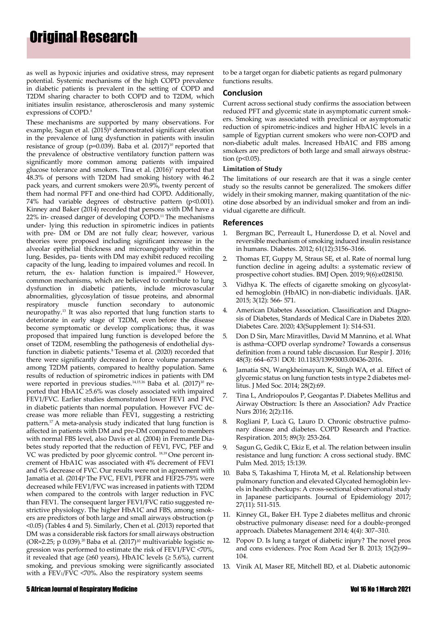as well as hypoxic injuries and oxidative stress, may represent potential. Systemic mechanisms of the high COPD prevalence in diabetic patients is prevalent in the setting of COPD and T2DM sharing character to both COPD and to T2DM, which initiates insulin resistance, atherosclerosis and many systemic expressions of COPD.<sup>8</sup>

These mechanisms are supported by many observations. For example, Sagun et al. (2015)<sup>9</sup> demonstrated significant elevation in the prevalence of lung dysfunction in patients with insulin resistance of group (p=0.039). Baba et al.  $(2017)^{10}$  reported that the prevalence of obstructive ventilatory function pattern was significantly more common among patients with impaired glucose tolerance and smokers. Tina et al. (2016)<sup>7</sup> reported that 48.3% of persons with T2DM had smoking history with 46.2 pack years, and current smokers were 20.9%, twenty percent of them had normal PFT and one-third had COPD. Additionally, 74% had variable degrees of obstructive pattern (p<0.001). Kinney and Baker (2014) recorded that persons with DM have a 22% in- creased danger of developing COPD.<sup>11</sup> The mechanisms under- lying this reduction in spirometric indices in patients with pre- DM or DM are not fully clear; however, various theories were proposed including significant increase in the alveolar epithelial thickness and microangiopathy within the lung. Besides, pa- tients with DM may exhibit reduced recoiling capacity of the lung, leading to impaired volumes and recoil. In return, the ex- halation function is impaired.<sup>12</sup> However, common mechanisms, which are believed to contribute to lung dysfunction in diabetic patients, include microvascular abnormalities, glycosylation of tissue proteins, and abnormal respiratory muscle function secondary to autonomic neuropathy.<sup>13</sup> It was also reported that lung function starts to deteriorate in early stage of T2DM, even before the disease become symptomatic or develop complications; thus, it was proposed that impaired lung function is developed before the onset of T2DM, resembling the pathogenesis of endothelial dysfunction in diabetic patients.<sup>8</sup> Tesema et al. (2020) recorded that there were significantly decreased in force volume parameters among T2DM patients, compared to healthy population. Same results of reduction of spirometric indices in patients with DM were reported in previous studies.<sup>14,15,16</sup> Baba et al. (2017)<sup>10</sup> reported that HbA1C ≥5.6% was closely associated with impaired FEV1/FVC. Earlier studies demonstrated lower FEV1 and FVC in diabetic patients than normal population. However FVC decrease was more reliable than FEV1, suggesting a restricting pattern.<sup>17</sup>A meta-analysis study indicated that lung function is affected in patients with DM and pre-DM compared to members with normal FBS level, also Davis et al. (2004) in Fremantle Diabetes study reported that the reduction of FEV1, FVC, PEF and VC was predicted by poor glycemic control. 18,19 One percent increment of HbA1C was associated with 4% decrement of FEV1 and 6% decrease of FVC. Our results were not in agreement with Jamatia et al. (2014)<sup>6</sup> The FVC, FEV1, PEFR and FEF25-75% were decreased while FEV1/FVC was increased in patients with T2DM when compared to the controls with larger reduction in FVC than FEV1. The consequent larger FEV1/FVC ratio suggested restrictive physiology. The higher HbA1C and FBS, among smokers are predictors of both large and small airways obstruction (p <0.05) (Tables 4 and 5). Similarly, Chen et al. (2013) reported that DM was a considerable risk factors for small airways obstruction (OR=2.25; p 0.039).<sup>20</sup> Baba et al. (2017)<sup>10</sup> multivariable logistic regression was performed to estimate the risk of FEV1/FVC <70%, it revealed that age ( $\geq 60$  years), HbA1C levels ( $\geq 5.6\%$ ), current smoking, and previous smoking were significantly associated with a FEV1/FVC <70%. Also the respiratory system seems

to be a target organ for diabetic patients as regard pulmonary functions results.

#### **Conclusion**

Current across sectional study confirms the association between reduced PFT and glycemic state in asymptomatic current smokers. Smoking was associated with preclinical or asymptomatic reduction of spirometric-indices and higher HbA1C levels in a sample of Egyptian current smokers who were non-COPD and non-diabetic adult males. Increased HbA1C and FBS among smokers are predictors of both large and small airways obstruction ( $p<0.05$ ).

#### **Limitation of Study**

The limitations of our research are that it was a single center study so the results cannot be generalized. The smokers differ widely in their smoking manner, making quantitation of the nicotine dose absorbed by an individual smoker and from an individual cigarette are difficult.

#### **References**

- 1. [Bergman BC, Perreault L, Hunerdosse D, et al. Novel and](https://diabetes.diabetesjournals.org/content/61/12/3156.short) reversible [mechanism](https://diabetes.diabetesjournals.org/content/61/12/3156.short) of smoking induced insulin resistanc[e](https://diabetes.diabetesjournals.org/content/61/12/3156.short) [in humans. Diabetes. 2012;](https://diabetes.diabetesjournals.org/content/61/12/3156.short) 61(12):3156–3166.
- 2. [Thomas ET, Guppy M, Straus SE, et al. Rate of normal lung](https://bmjopen.bmj.com/content/9/6/e028150.abstract) [function decline in ageing adults: a systematic review of](https://bmjopen.bmj.com/content/9/6/e028150.abstract) [prospective cohort studies. BMJ Open. 2019;](https://bmjopen.bmj.com/content/9/6/e028150.abstract) 9(6):e028150.
- 3. [Vidhya K. The effects of cigarette smoking on glycosylat](https://pubmed.ncbi.nlm.nih.gov/2597247/)[ed hemoglobin \(HbAIC\) in non-diabetic individuals. IJAR.](https://pubmed.ncbi.nlm.nih.gov/2597247/) [2015; 3\(12\): 566-](https://pubmed.ncbi.nlm.nih.gov/2597247/) 571.
- 4. [American Diabetes Association. Classification and Diagno](https://care.diabetesjournals.org/content/43/Supplement_1/S14)[sis of Diabetes, Standards of Medical Care in Diabetes 2020.](https://care.diabetesjournals.org/content/43/Supplement_1/S14) [Diabetes Care. 2020; 43\(Supplement 1\): S14-S31.](https://care.diabetesjournals.org/content/43/Supplement_1/S14)
- 5. [Don D Sin, Marc Miravitlles, David M Mannino, et al. What](https://erj.ersjournals.com/content/48/3/664) [is asthma−COPD overlap syndrome? Towards a consensus](https://erj.ersjournals.com/content/48/3/664) [definition from a round table discussion. Eur Respir J. 2016;](https://erj.ersjournals.com/content/48/3/664) 48(3): 664–[673| DOI: 10.1183/13993003.00436-2016.](https://erj.ersjournals.com/content/48/3/664)
- [Jamatia SN, Wangkheimayum K, Singh WA, et al. Effect of](https://www.jmedsoc.org/article.asp?issn=0972-4958%3Byear%3D2014%3Bvolume%3D28%3Bissue%3D2%3Bspage%3D69%3Bepage%3D72%3Baulast%3DNaithok%23%3A%7E%3Atext%3Dthat%20indicated%20a%20poor%20lung%2Cwith%20a%20poor%20glycemic%20control.&text=Diabetic%20patients%20showed%20modest%2C%20albeit%2Clung%20function%20in%20restrictive%20pattern) [glycemic](https://www.jmedsoc.org/article.asp?issn=0972-4958%3Byear%3D2014%3Bvolume%3D28%3Bissue%3D2%3Bspage%3D69%3Bepage%3D72%3Baulast%3DNaithok%23%3A%7E%3Atext%3Dthat%20indicated%20a%20poor%20lung%2Cwith%20a%20poor%20glycemic%20control.&text=Diabetic%20patients%20showed%20modest%2C%20albeit%2Clung%20function%20in%20restrictive%20pattern) status on lung function tests in type 2 diabetes me[l](https://www.jmedsoc.org/article.asp?issn=0972-4958%3Byear%3D2014%3Bvolume%3D28%3Bissue%3D2%3Bspage%3D69%3Bepage%3D72%3Baulast%3DNaithok%23%3A%7E%3Atext%3Dthat%20indicated%20a%20poor%20lung%2Cwith%20a%20poor%20glycemic%20control.&text=Diabetic%20patients%20showed%20modest%2C%20albeit%2Clung%20function%20in%20restrictive%20pattern)[litus. J Med Soc. 2014; 28\(2\):69.](https://www.jmedsoc.org/article.asp?issn=0972-4958%3Byear%3D2014%3Bvolume%3D28%3Bissue%3D2%3Bspage%3D69%3Bepage%3D72%3Baulast%3DNaithok%23%3A%7E%3Atext%3Dthat%20indicated%20a%20poor%20lung%2Cwith%20a%20poor%20glycemic%20control.&text=Diabetic%20patients%20showed%20modest%2C%20albeit%2Clung%20function%20in%20restrictive%20pattern)
- 7. Tina L, [Andriopoulos](https://www.hilarispublisher.com/open-access/diabetes-mellitus-and-airway-obstruction-is-there-an-association-APN-1000116.pdf) P, Geogantas P. Diabetes Mellitus an[d](https://www.hilarispublisher.com/open-access/diabetes-mellitus-and-airway-obstruction-is-there-an-association-APN-1000116.pdf) [Airway Obstruction: Is there an Association? Adv Practice](https://www.hilarispublisher.com/open-access/diabetes-mellitus-and-airway-obstruction-is-there-an-association-APN-1000116.pdf) [Nurs 2016;](https://www.hilarispublisher.com/open-access/diabetes-mellitus-and-airway-obstruction-is-there-an-association-APN-1000116.pdf) 2(2):116.
- [Rogliani P, Lucà G, Lauro D. Chronic obstructive pulmo](https://copdrp.biomedcentral.com/articles/10.1186/s40749-015-0005-y)[nary disease and diabetes. COPD Research and Practice.](https://copdrp.biomedcentral.com/articles/10.1186/s40749-015-0005-y) [Respiration. 2015; 89\(3\): 253-264.](https://copdrp.biomedcentral.com/articles/10.1186/s40749-015-0005-y)
- 9. Sagun G, Gedik C, Ekiz E, et al. The relation [between](https://bmcpulmmed.biomedcentral.com/articles/10.1186/s12890-015-0125-9) insuli[n](https://bmcpulmmed.biomedcentral.com/articles/10.1186/s12890-015-0125-9) [resistance and lung function: A cross sectional study. BMC](https://bmcpulmmed.biomedcentral.com/articles/10.1186/s12890-015-0125-9) [Pulm Med. 2015; 15:139.](https://bmcpulmmed.biomedcentral.com/articles/10.1186/s12890-015-0125-9)
- 10. [Baba S, Takashima T, Hirota M, et al. Relationship between](https://pubmed.ncbi.nlm.nih.gov/28142050/) pulmonary function and elevated Glycated [hemoglobin](https://pubmed.ncbi.nlm.nih.gov/28142050/) levels in health checkups: A [cross-sectional](https://pubmed.ncbi.nlm.nih.gov/28142050/) observational stud[y](https://pubmed.ncbi.nlm.nih.gov/28142050/) [in Japanese participants. Journal of Epidemiology 2017;](https://pubmed.ncbi.nlm.nih.gov/28142050/) [27\(11\): 511-515.](https://pubmed.ncbi.nlm.nih.gov/28142050/)
- 11. Kinney GL, Baker EH. Type 2 diabetes mellitus and chronic obstructive pulmonary disease: need for a double-pronged approach. Diabetes Management 2014; 4(4): 307–310.
- 12. Popov D. Is lung a target of diabetic injury? The novel pros and cons evidences. Proc Rom Acad Ser B. 2013; 15(2):99– 104.
- 13. Vinik AI, Maser RE, Mitchell BD, et al. Diabetic autonomic

#### 5 African Journal of Respiratory Medicine Vol16 No 1 March 2021